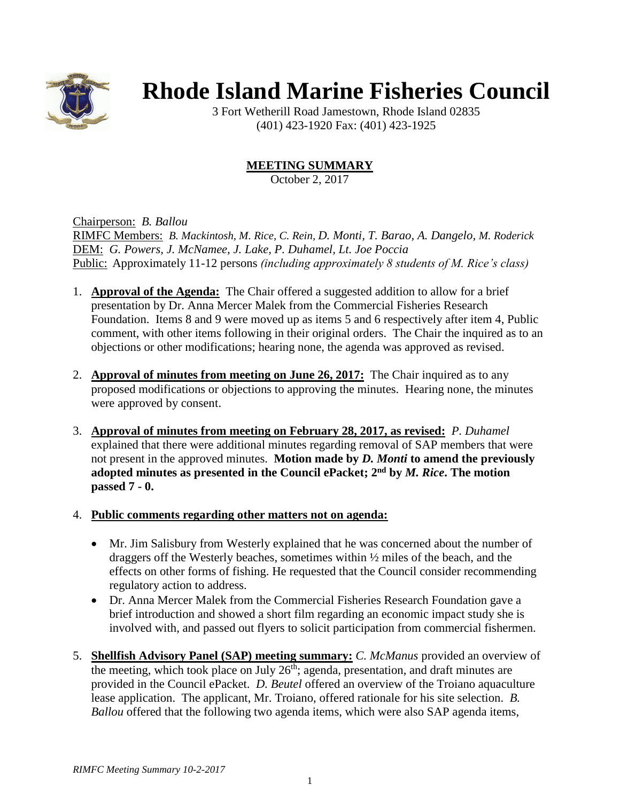

## **Rhode Island Marine Fisheries Council**

3 Fort Wetherill Road Jamestown, Rhode Island 02835 (401) 423-1920 Fax: (401) 423-1925

## **MEETING SUMMARY**

October 2, 2017

Chairperson: *B. Ballou*

RIMFC Members: *B. Mackintosh, M. Rice, C. Rein, D. Monti, T. Barao, A. Dangelo, M. Roderick* DEM: *G. Powers, J. McNamee, J. Lake, P. Duhamel, Lt. Joe Poccia* Public: Approximately 11-12 persons *(including approximately 8 students of M. Rice's class)*

- 1. **Approval of the Agenda:** The Chair offered a suggested addition to allow for a brief presentation by Dr. Anna Mercer Malek from the Commercial Fisheries Research Foundation. Items 8 and 9 were moved up as items 5 and 6 respectively after item 4, Public comment, with other items following in their original orders. The Chair the inquired as to an objections or other modifications; hearing none, the agenda was approved as revised.
- 2. **Approval of minutes from meeting on June 26, 2017:** The Chair inquired as to any proposed modifications or objections to approving the minutes. Hearing none, the minutes were approved by consent.
- 3. **Approval of minutes from meeting on February 28, 2017, as revised:** *P. Duhamel* explained that there were additional minutes regarding removal of SAP members that were not present in the approved minutes. **Motion made by** *D. Monti* **to amend the previously adopted minutes as presented in the Council ePacket; 2nd by** *M. Rice***. The motion passed 7 - 0.**

## 4. **Public comments regarding other matters not on agenda:**

- Mr. Jim Salisbury from Westerly explained that he was concerned about the number of draggers off the Westerly beaches, sometimes within ½ miles of the beach, and the effects on other forms of fishing. He requested that the Council consider recommending regulatory action to address.
- Dr. Anna Mercer Malek from the Commercial Fisheries Research Foundation gave a brief introduction and showed a short film regarding an economic impact study she is involved with, and passed out flyers to solicit participation from commercial fishermen.
- 5. **Shellfish Advisory Panel (SAP) meeting summary:** *C. McManus* provided an overview of the meeting, which took place on July  $26<sup>th</sup>$ ; agenda, presentation, and draft minutes are provided in the Council ePacket. *D. Beutel* offered an overview of the Troiano aquaculture lease application. The applicant, Mr. Troiano, offered rationale for his site selection. *B. Ballou* offered that the following two agenda items, which were also SAP agenda items,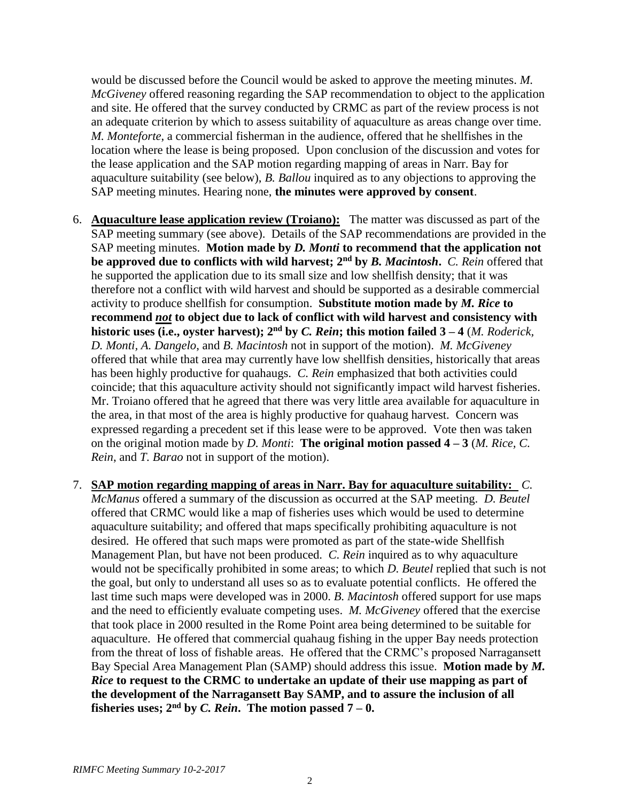would be discussed before the Council would be asked to approve the meeting minutes. *M. McGiveney* offered reasoning regarding the SAP recommendation to object to the application and site. He offered that the survey conducted by CRMC as part of the review process is not an adequate criterion by which to assess suitability of aquaculture as areas change over time. *M. Monteforte*, a commercial fisherman in the audience, offered that he shellfishes in the location where the lease is being proposed. Upon conclusion of the discussion and votes for the lease application and the SAP motion regarding mapping of areas in Narr. Bay for aquaculture suitability (see below), *B. Ballou* inquired as to any objections to approving the SAP meeting minutes. Hearing none, **the minutes were approved by consent**.

- 6. **Aquaculture lease application review (Troiano):** The matter was discussed as part of the SAP meeting summary (see above). Details of the SAP recommendations are provided in the SAP meeting minutes. **Motion made by** *D. Monti* **to recommend that the application not be approved due to conflicts with wild harvest; 2nd by** *B. Macintosh***.** *C. Rein* offered that he supported the application due to its small size and low shellfish density; that it was therefore not a conflict with wild harvest and should be supported as a desirable commercial activity to produce shellfish for consumption. **Substitute motion made by** *M. Rice* **to recommend** *not* **to object due to lack of conflict with wild harvest and consistency with historic uses (i.e., oyster harvest); 2nd by** *C. Rein***; this motion failed 3 – 4** (*M. Roderick, D. Monti, A. Dangelo*, and *B. Macintosh* not in support of the motion).*M. McGiveney* offered that while that area may currently have low shellfish densities, historically that areas has been highly productive for quahaugs. *C. Rein* emphasized that both activities could coincide; that this aquaculture activity should not significantly impact wild harvest fisheries. Mr. Troiano offered that he agreed that there was very little area available for aquaculture in the area, in that most of the area is highly productive for quahaug harvest. Concern was expressed regarding a precedent set if this lease were to be approved. Vote then was taken on the original motion made by *D. Monti*: **The original motion passed 4 – 3** (*M. Rice, C. Rein*, and *T. Barao* not in support of the motion).
- 7. **SAP motion regarding mapping of areas in Narr. Bay for aquaculture suitability:** *C. McManus* offered a summary of the discussion as occurred at the SAP meeting. *D. Beutel* offered that CRMC would like a map of fisheries uses which would be used to determine aquaculture suitability; and offered that maps specifically prohibiting aquaculture is not desired. He offered that such maps were promoted as part of the state-wide Shellfish Management Plan, but have not been produced. *C. Rein* inquired as to why aquaculture would not be specifically prohibited in some areas; to which *D. Beutel* replied that such is not the goal, but only to understand all uses so as to evaluate potential conflicts. He offered the last time such maps were developed was in 2000. *B. Macintosh* offered support for use maps and the need to efficiently evaluate competing uses. *M. McGiveney* offered that the exercise that took place in 2000 resulted in the Rome Point area being determined to be suitable for aquaculture. He offered that commercial quahaug fishing in the upper Bay needs protection from the threat of loss of fishable areas. He offered that the CRMC's proposed Narragansett Bay Special Area Management Plan (SAMP) should address this issue. **Motion made by** *M. Rice* **to request to the CRMC to undertake an update of their use mapping as part of the development of the Narragansett Bay SAMP, and to assure the inclusion of all fisheries uses;**  $2<sup>nd</sup>$  by *C. Rein*. The motion passed  $7-0$ .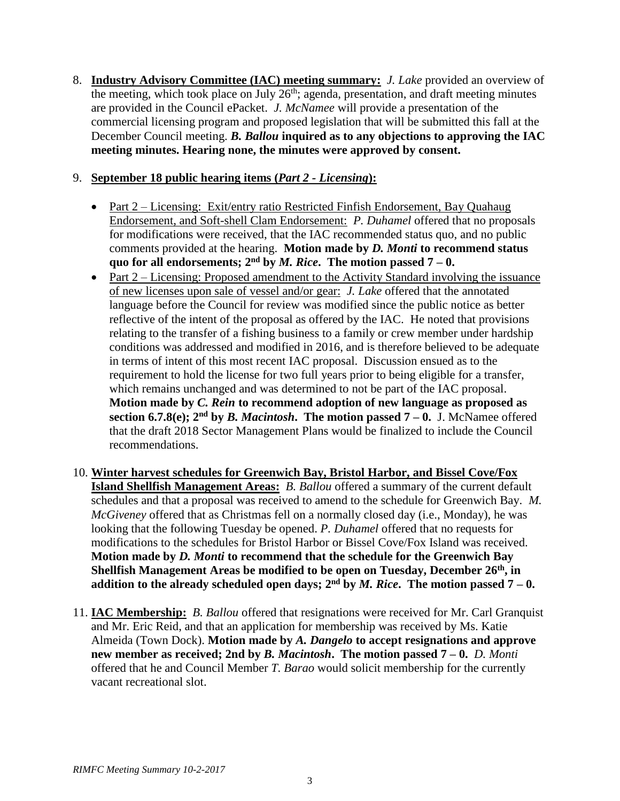8. **Industry Advisory Committee (IAC) meeting summary:** *J. Lake* provided an overview of the meeting, which took place on July  $26<sup>th</sup>$ ; agenda, presentation, and draft meeting minutes are provided in the Council ePacket. *J. McNamee* will provide a presentation of the commercial licensing program and proposed legislation that will be submitted this fall at the December Council meeting. *B. Ballou* **inquired as to any objections to approving the IAC meeting minutes. Hearing none, the minutes were approved by consent.**

## 9. **September 18 public hearing items (***Part 2 - Licensing***):**

- Part 2 Licensing: Exit/entry ratio Restricted Finfish Endorsement, Bay Quahaug Endorsement, and Soft-shell Clam Endorsement: *P. Duhamel* offered that no proposals for modifications were received, that the IAC recommended status quo, and no public comments provided at the hearing. **Motion made by** *D. Monti* **to recommend status quo for all endorsements;**  $2^{nd}$  by *M. Rice*. The motion passed  $7 - 0$ .
- Part 2 Licensing: Proposed amendment to the Activity Standard involving the issuance of new licenses upon sale of vessel and/or gear: *J. Lake* offered that the annotated language before the Council for review was modified since the public notice as better reflective of the intent of the proposal as offered by the IAC. He noted that provisions relating to the transfer of a fishing business to a family or crew member under hardship conditions was addressed and modified in 2016, and is therefore believed to be adequate in terms of intent of this most recent IAC proposal. Discussion ensued as to the requirement to hold the license for two full years prior to being eligible for a transfer, which remains unchanged and was determined to not be part of the IAC proposal. **Motion made by** *C. Rein* **to recommend adoption of new language as proposed as section 6.7.8(e);**  $2^{nd}$  **by** *B. Macintosh***. The motion passed**  $7 - 0$ **.** J. McNamee offered that the draft 2018 Sector Management Plans would be finalized to include the Council recommendations.
- 10. **Winter harvest schedules for Greenwich Bay, Bristol Harbor, and Bissel Cove/Fox Island Shellfish Management Areas:** *B. Ballou* offered a summary of the current default schedules and that a proposal was received to amend to the schedule for Greenwich Bay. *M. McGiveney* offered that as Christmas fell on a normally closed day (i.e., Monday), he was looking that the following Tuesday be opened. *P. Duhamel* offered that no requests for modifications to the schedules for Bristol Harbor or Bissel Cove/Fox Island was received. **Motion made by** *D. Monti* **to recommend that the schedule for the Greenwich Bay Shellfish Management Areas be modified to be open on Tuesday, December 26th, in**  addition to the already scheduled open days;  $2<sup>nd</sup>$  by *M. Rice*. The motion passed  $7 - 0$ .
- 11. **IAC Membership:** *B. Ballou* offered that resignations were received for Mr. Carl Granquist and Mr. Eric Reid, and that an application for membership was received by Ms. Katie Almeida (Town Dock). **Motion made by** *A. Dangelo* **to accept resignations and approve new member as received; 2nd by** *B. Macintosh***. The motion passed 7 – 0.** *D. Monti* offered that he and Council Member *T. Barao* would solicit membership for the currently vacant recreational slot.